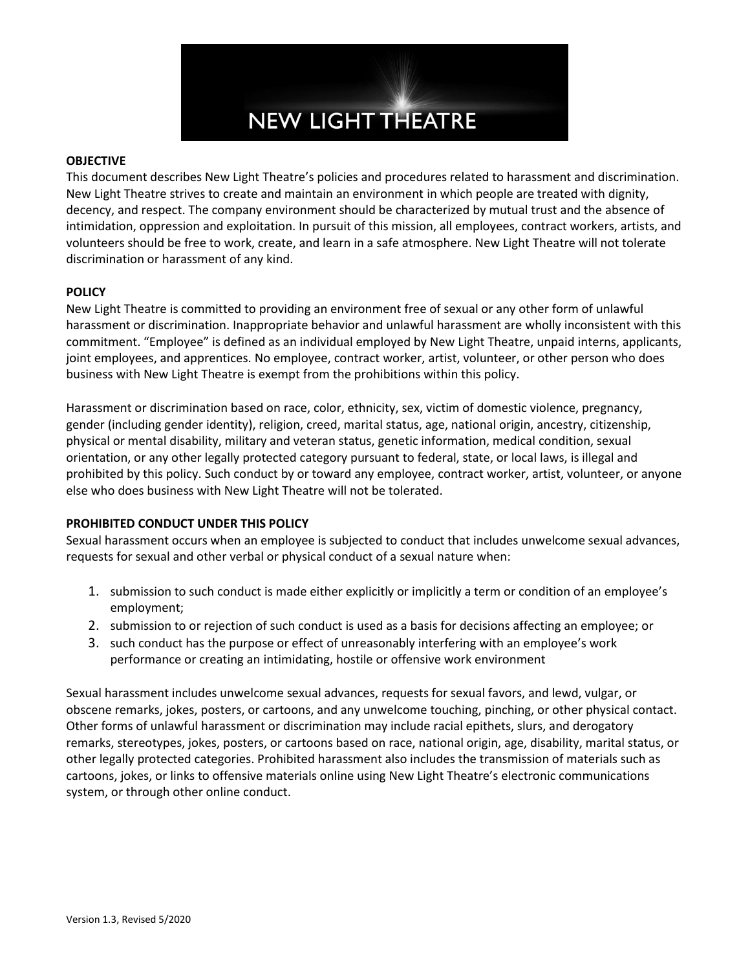

### **OBJECTIVE**

This document describes New Light Theatre's policies and procedures related to harassment and discrimination. New Light Theatre strives to create and maintain an environment in which people are treated with dignity, decency, and respect. The company environment should be characterized by mutual trust and the absence of intimidation, oppression and exploitation. In pursuit of this mission, all employees, contract workers, artists, and volunteers should be free to work, create, and learn in a safe atmosphere. New Light Theatre will not tolerate discrimination or harassment of any kind.

# **POLICY**

New Light Theatre is committed to providing an environment free of sexual or any other form of unlawful harassment or discrimination. Inappropriate behavior and unlawful harassment are wholly inconsistent with this commitment. "Employee" is defined as an individual employed by New Light Theatre, unpaid interns, applicants, joint employees, and apprentices. No employee, contract worker, artist, volunteer, or other person who does business with New Light Theatre is exempt from the prohibitions within this policy.

Harassment or discrimination based on race, color, ethnicity, sex, victim of domestic violence, pregnancy, gender (including gender identity), religion, creed, marital status, age, national origin, ancestry, citizenship, physical or mental disability, military and veteran status, genetic information, medical condition, sexual orientation, or any other legally protected category pursuant to federal, state, or local laws, is illegal and prohibited by this policy. Such conduct by or toward any employee, contract worker, artist, volunteer, or anyone else who does business with New Light Theatre will not be tolerated.

#### **PROHIBITED CONDUCT UNDER THIS POLICY**

Sexual harassment occurs when an employee is subjected to conduct that includes unwelcome sexual advances, requests for sexual and other verbal or physical conduct of a sexual nature when:

- 1. submission to such conduct is made either explicitly or implicitly a term or condition of an employee's employment;
- 2. submission to or rejection of such conduct is used as a basis for decisions affecting an employee; or
- 3. such conduct has the purpose or effect of unreasonably interfering with an employee's work performance or creating an intimidating, hostile or offensive work environment

Sexual harassment includes unwelcome sexual advances, requests for sexual favors, and lewd, vulgar, or obscene remarks, jokes, posters, or cartoons, and any unwelcome touching, pinching, or other physical contact. Other forms of unlawful harassment or discrimination may include racial epithets, slurs, and derogatory remarks, stereotypes, jokes, posters, or cartoons based on race, national origin, age, disability, marital status, or other legally protected categories. Prohibited harassment also includes the transmission of materials such as cartoons, jokes, or links to offensive materials online using New Light Theatre's electronic communications system, or through other online conduct.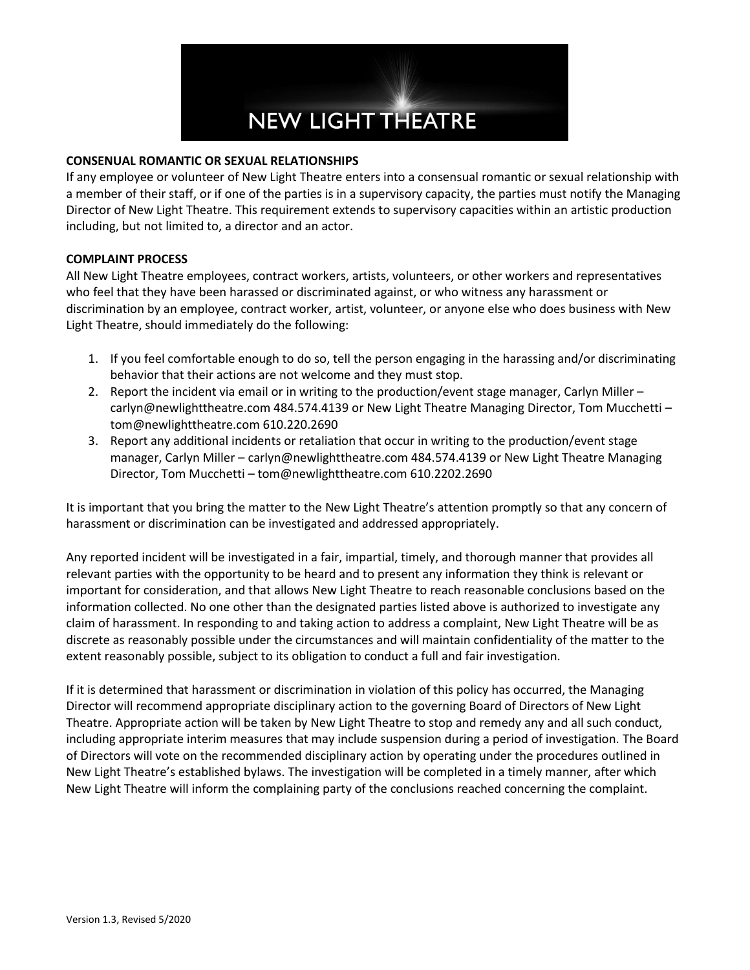

## **CONSENUAL ROMANTIC OR SEXUAL RELATIONSHIPS**

If any employee or volunteer of New Light Theatre enters into a consensual romantic or sexual relationship with a member of their staff, or if one of the parties is in a supervisory capacity, the parties must notify the Managing Director of New Light Theatre. This requirement extends to supervisory capacities within an artistic production including, but not limited to, a director and an actor.

### **COMPLAINT PROCESS**

All New Light Theatre employees, contract workers, artists, volunteers, or other workers and representatives who feel that they have been harassed or discriminated against, or who witness any harassment or discrimination by an employee, contract worker, artist, volunteer, or anyone else who does business with New Light Theatre, should immediately do the following:

- 1. If you feel comfortable enough to do so, tell the person engaging in the harassing and/or discriminating behavior that their actions are not welcome and they must stop.
- 2. Report the incident via email or in writing to the production/event stage manager, Carlyn Miller carlyn@newlighttheatre.com 484.574.4139 or New Light Theatre Managing Director, Tom Mucchetti – tom@newlighttheatre.com 610.220.2690
- 3. Report any additional incidents or retaliation that occur in writing to the production/event stage manager, Carlyn Miller – carlyn@newlighttheatre.com 484.574.4139 or New Light Theatre Managing Director, Tom Mucchetti – tom@newlighttheatre.com 610.2202.2690

It is important that you bring the matter to the New Light Theatre's attention promptly so that any concern of harassment or discrimination can be investigated and addressed appropriately.

Any reported incident will be investigated in a fair, impartial, timely, and thorough manner that provides all relevant parties with the opportunity to be heard and to present any information they think is relevant or important for consideration, and that allows New Light Theatre to reach reasonable conclusions based on the information collected. No one other than the designated parties listed above is authorized to investigate any claim of harassment. In responding to and taking action to address a complaint, New Light Theatre will be as discrete as reasonably possible under the circumstances and will maintain confidentiality of the matter to the extent reasonably possible, subject to its obligation to conduct a full and fair investigation.

If it is determined that harassment or discrimination in violation of this policy has occurred, the Managing Director will recommend appropriate disciplinary action to the governing Board of Directors of New Light Theatre. Appropriate action will be taken by New Light Theatre to stop and remedy any and all such conduct, including appropriate interim measures that may include suspension during a period of investigation. The Board of Directors will vote on the recommended disciplinary action by operating under the procedures outlined in New Light Theatre's established bylaws. The investigation will be completed in a timely manner, after which New Light Theatre will inform the complaining party of the conclusions reached concerning the complaint.